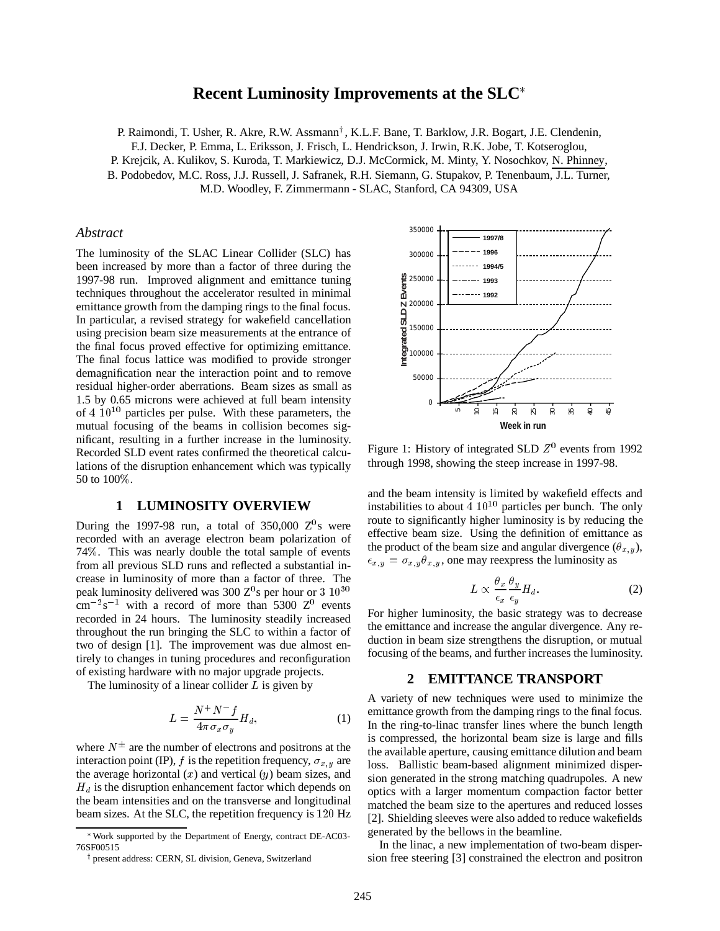# **Recent Luminosity Improvements at the SLC**

P. Raimondi, T. Usher, R. Akre, R.W. Assmann<sup>†</sup>, K.L.F. Bane, T. Barklow, J.R. Bogart, J.E. Clendenin,

F.J. Decker, P. Emma, L. Eriksson, J. Frisch, L. Hendrickson, J. Irwin, R.K. Jobe, T. Kotseroglou,

P. Krejcik, A. Kulikov, S. Kuroda, T. Markiewicz, D.J. McCormick, M. Minty, Y. Nosochkov, N. Phinney,

B. Podobedov, M.C. Ross, J.J. Russell, J. Safranek, R.H. Siemann, G. Stupakov, P. Tenenbaum, J.L. Turner,

M.D. Woodley, F. Zimmermann - SLAC, Stanford, CA 94309, USA

#### *Abstract*

The luminosity of the SLAC Linear Collider (SLC) has been increased by more than a factor of three during the 1997-98 run. Improved alignment and emittance tuning techniques throughout the accelerator resulted in minimal emittance growth from the damping rings to the final focus. In particular, a revised strategy for wakefield cancellation using precision beam size measurements at the entrance of the final focus proved effective for optimizing emittance. The final focus lattice was modified to provide stronger demagnification near the interaction point and to remove residual higher-order aberrations. Beam sizes as small as 1.5 by 0.65 microns were achieved at full beam intensity of  $4 \times 10^{10}$  particles per pulse. With these parameters, the mutual focusing of the beams in collision becomes significant, resulting in a further increase in the luminosity. Recorded SLD event rates confirmed the theoretical calculations of the disruption enhancement which was typically 50 to 100%.

# **1 LUMINOSITY OVERVIEW**

During the 1997-98 run, a total of 350,000  $Z^0$ s were recorded with an average electron beam polarization of 74%. This was nearly double the total sample of events from all previous SLD runs and reflected a substantial increase in luminosity of more than a factor of three. The peak luminosity delivered was 300  $Z^0$ s per hour or 3  $10^{30}$  $\text{cm}^{-2}\text{s}^{-1}$  with a record of more than 5300 Z<sup>0</sup> events recorded in 24 hours. The luminosity steadily increased throughout the run bringing the SLC to within a factor of two of design [1]. The improvement was due almost entirely to changes in tuning procedures and reconfiguration of existing hardware with no major upgrade projects.

The luminosity of a linear collider  $L$  is given by

$$
L = \frac{N^+N^-f}{4\pi\sigma_x\sigma_y}H_d,\tag{1}
$$

where  $N^{\pm}$  are the number of electrons and positrons at the interaction point (IP), f is the repetition frequency,  $\sigma_{x,y}$  are the average horizontal  $(x)$  and vertical  $(y)$  beam sizes, and  $H_d$  is the disruption enhancement factor which depends on the beam intensities and on the transverse and longitudinal beam sizes. At the SLC, the repetition frequency is <sup>120</sup> Hz



<sup>&</sup>lt;sup>†</sup> present address: CERN, SL division, Geneva, Switzerland



Figure 1: History of integrated SLD  $Z<sup>0</sup>$  events from 1992 through 1998, showing the steep increase in 1997-98.

and the beam intensity is limited by wakefield effects and instabilities to about  $4 \times 10^{10}$  particles per bunch. The only route to significantly higher luminosity is by reducing the effective beam size. Using the definition of emittance as the product of the beam size and angular divergence  $(\theta_{x,y})$ ,  $\epsilon_{x,y} = \sigma_{x,y} \theta_{x,y}$ , one may reexpress the luminosity as

$$
L \propto \frac{\theta_x}{\epsilon_x} \frac{\theta_y}{\epsilon_y} H_d.
$$
 (2)

For higher luminosity, the basic strategy was to decrease the emittance and increase the angular divergence. Any reduction in beam size strengthens the disruption, or mutual focusing of the beams, and further increases the luminosity.

# **2 EMITTANCE TRANSPORT**

A variety of new techniques were used to minimize the emittance growth from the damping rings to the final focus. In the ring-to-linac transfer lines where the bunch length is compressed, the horizontal beam size is large and fills the available aperture, causing emittance dilution and beam loss. Ballistic beam-based alignment minimized dispersion generated in the strong matching quadrupoles. A new optics with a larger momentum compaction factor better matched the beam size to the apertures and reduced losses [2]. Shielding sleeves were also added to reduce wakefields generated by the bellows in the beamline.

In the linac, a new implementation of two-beam dispersion free steering [3] constrained the electron and positron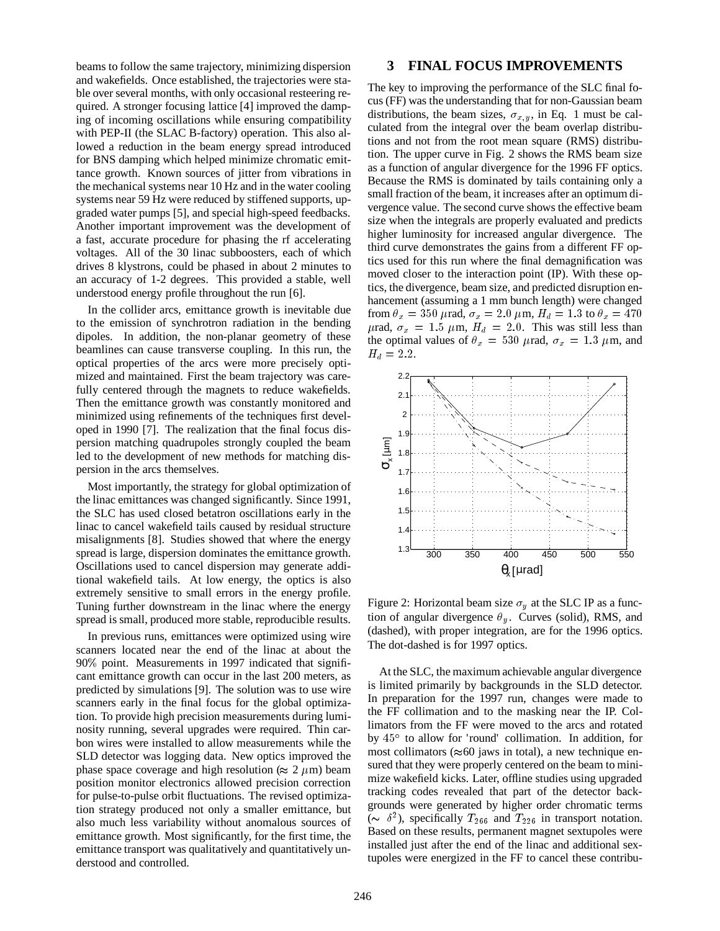beams to follow the same trajectory, minimizing dispersion and wakefields. Once established, the trajectories were stable over several months, with only occasional resteering required. A stronger focusing lattice [4] improved the damping of incoming oscillations while ensuring compatibility with PEP-II (the SLAC B-factory) operation. This also allowed a reduction in the beam energy spread introduced for BNS damping which helped minimize chromatic emittance growth. Known sources of jitter from vibrations in the mechanical systems near 10 Hz and in the water cooling systems near 59 Hz were reduced by stiffened supports, upgraded water pumps [5], and special high-speed feedbacks. Another important improvement was the development of a fast, accurate procedure for phasing the rf accelerating voltages. All of the 30 linac subboosters, each of which drives 8 klystrons, could be phased in about 2 minutes to an accuracy of 1-2 degrees. This provided a stable, well understood energy profile throughout the run [6].

In the collider arcs, emittance growth is inevitable due to the emission of synchrotron radiation in the bending dipoles. In addition, the non-planar geometry of these beamlines can cause transverse coupling. In this run, the optical properties of the arcs were more precisely optimized and maintained. First the beam trajectory was carefully centered through the magnets to reduce wakefields. Then the emittance growth was constantly monitored and minimized using refinements of the techniques first developed in 1990 [7]. The realization that the final focus dispersion matching quadrupoles strongly coupled the beam led to the development of new methods for matching dispersion in the arcs themselves.

Most importantly, the strategy for global optimization of the linac emittances was changed significantly. Since 1991, the SLC has used closed betatron oscillations early in the linac to cancel wakefield tails caused by residual structure misalignments [8]. Studies showed that where the energy spread is large, dispersion dominates the emittance growth. Oscillations used to cancel dispersion may generate additional wakefield tails. At low energy, the optics is also extremely sensitive to small errors in the energy profile. Tuning further downstream in the linac where the energy spread is small, produced more stable, reproducible results.

In previous runs, emittances were optimized using wire scanners located near the end of the linac at about the 90% point. Measurements in 1997 indicated that significant emittance growth can occur in the last 200 meters, as predicted by simulations [9]. The solution was to use wire scanners early in the final focus for the global optimization. To provide high precision measurements during luminosity running, several upgrades were required. Thin carbon wires were installed to allow measurements while the SLD detector was logging data. New optics improved the phase space coverage and high resolution ( $\approx 2 \ \mu m$ ) beam position monitor electronics allowed precision correction for pulse-to-pulse orbit fluctuations. The revised optimization strategy produced not only a smaller emittance, but also much less variability without anomalous sources of emittance growth. Most significantly, for the first time, the emittance transport was qualitatively and quantitatively understood and controlled.

# **3 FINAL FOCUS IMPROVEMENTS**

The key to improving the performance of the SLC final focus (FF) was the understanding that for non-Gaussian beam distributions, the beam sizes,  $\sigma_{x,y}$ , in Eq. 1 must be calculated from the integral over the beam overlap distributions and not from the root mean square (RMS) distribution. The upper curve in Fig. 2 shows the RMS beam size as a function of angular divergence for the 1996 FF optics. Because the RMS is dominated by tails containing only a small fraction of the beam, it increases after an optimum divergence value. The second curve shows the effective beam size when the integrals are properly evaluated and predicts higher luminosity for increased angular divergence. The third curve demonstrates the gains from a different FF optics used for this run where the final demagnification was moved closer to the interaction point (IP). With these optics, the divergence, beam size, and predicted disruption enhancement (assuming a 1 mm bunch length) were changed from  $\theta_x = 350 \mu$ rad,  $\sigma_x = 2.0 \mu$ m,  $H_d = 1.3$  to  $\theta_x = 470$  $\mu$ rad,  $\sigma_x = 1.5 \mu$ m,  $H_d = 2.0$ . This was still less than the optimal values of  $\theta_x = 530 \mu$ rad,  $\sigma_x = 1.3 \mu$ m, and  $H_d = 2.2.$ 



Figure 2: Horizontal beam size  $\sigma_y$  at the SLC IP as a function of angular divergence  $\theta_y$ . Curves (solid), RMS, and (dashed), with proper integration, are for the 1996 optics. The dot-dashed is for 1997 optics.

At the SLC, the maximum achievable angular divergence is limited primarily by backgrounds in the SLD detector. In preparation for the 1997 run, changes were made to the FF collimation and to the masking near the IP. Collimators from the FF were moved to the arcs and rotated by 45<sup>°</sup> to allow for 'round' collimation. In addition, for most collimators ( $\approx 60$  jaws in total), a new technique ensured that they were properly centered on the beam to minimize wakefield kicks. Later, offline studies using upgraded tracking codes revealed that part of the detector backgrounds were generated by higher order chromatic terms ( $\sim \delta^2$ ), specifically  $T_{266}$  and  $T_{226}$  in transport notation. Based on these results, permanent magnet sextupoles were installed just after the end of the linac and additional sextupoles were energized in the FF to cancel these contribu